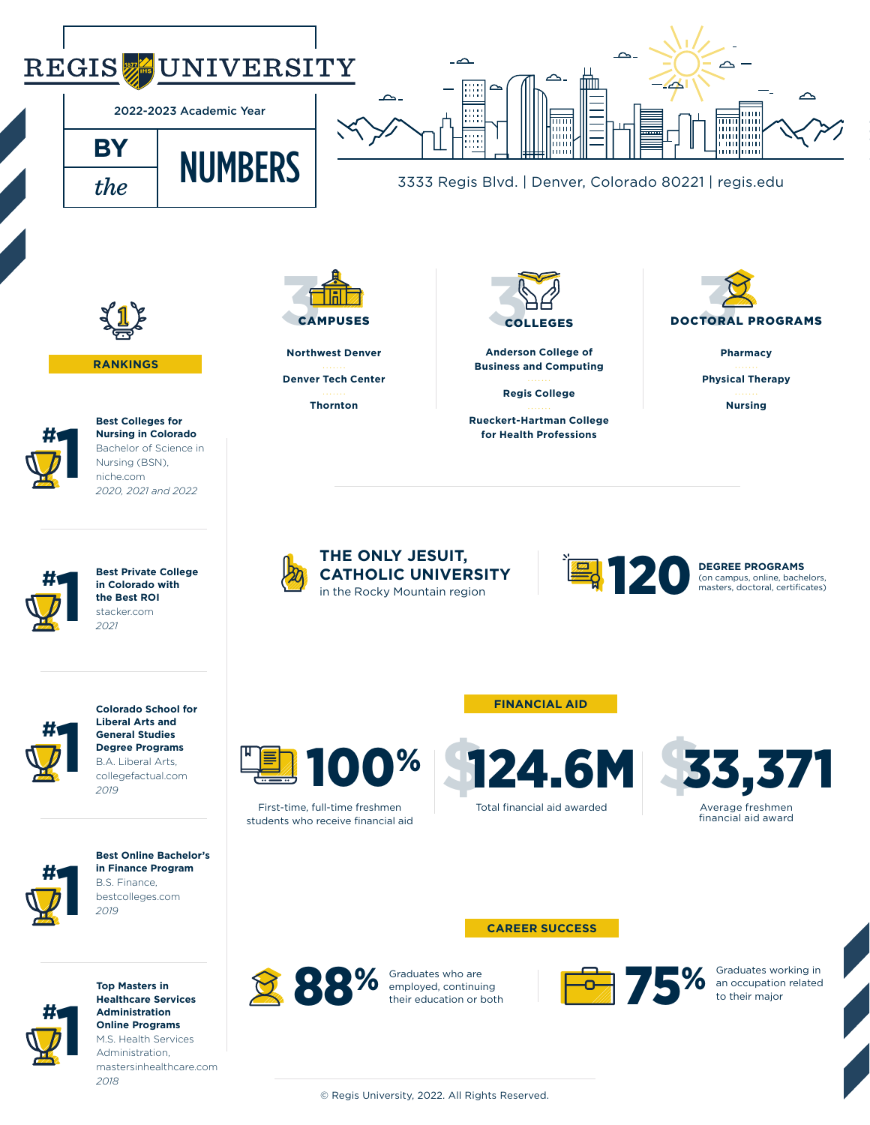## REGIS<sup>,</sup> **SUNIVERSITY**





3333 Regis Blvd. | Denver, Colorado 80221 | regis.edu



**RANKINGS**



**Best Colleges for Nursing in Colorado** Bachelor of Science in Nursing (BSN), niche.com *2020, 2021 and 2022*



**Best Private College in Colorado with the Best ROI** stacker.com *2021*



**Liberal Arts and General Studies Degree Programs** B.A. Liberal Arts, collegefactual.com *2019*

**Colorado School for** 



**Best Online Bachelor's in Finance Program** B.S. Finance, bestcolleges.com *2019*



**Top Masters in Healthcare Services Administration Online Programs** M.S. Health Services Administration, mastersinhealthcare.com *2018*



**Northwest Denver Denver Tech Center Thornton**



**Anderson College of Business and Computing**

**Regis College**

**Rueckert-Hartman College for Health Professions** 



**Pharmacy Physical Therapy Nursing**



**THE ONLY JESUIT, CATHOLIC UNIVERSITY** THE ONLY JESUIT,<br>CATHOLIC UNIVERSITY **DEGREE PROGRAMS**<br>in the Rocky Mountain region

(on campus, online, bachelors, masters, doctoral, certificates)

**FINANCIAL AID**



First-time, full-time freshmen students who receive financial aid

Total financial aid awarded 100% 124.6M



**CAREER SUCCESS**

their education or both



Graduates working in an occupation related to their major

© Regis University, 2022. All Rights Reserved.